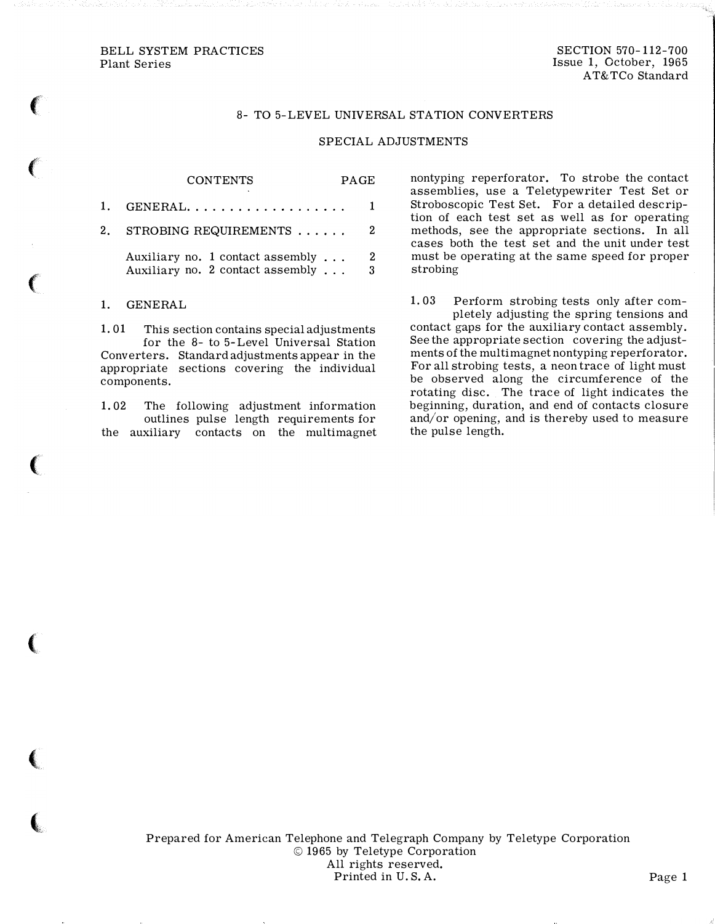### BELL SYSTEM PRACTICES Plant Series

SECTION 570-112-700 Issue 1, October, 1965 AT&TCo Standard

# 8- TO 5-LEVEL UNIVERSAL STATION CONVERTERS

#### SPECIAL ADJUSTMENTS

|    | <b>CONTENTS</b>                                                              | PAGE. |        |
|----|------------------------------------------------------------------------------|-------|--------|
| 1. | $GENERAL. \ldots \ldots \ldots \ldots \ldots$                                |       |        |
| 2. | STROBING REQUIREMENTS                                                        |       | 2.     |
|    | Auxiliary no. 1 contact assembly $\dots$<br>Auxiliary no. 2 contact assembly |       | 2<br>3 |

1. GENERAL

f

 $\left($ 

 $\epsilon$ 

 $\epsilon$ 

 $\big($ 

 $\big($ 

'

1. 01 This section contains special adjustments for the 8- to 5- Level Universal Station Converters. Standard adjustments appear in the appropriate sections covering the individual components.

1. 02 The following adjustment information outlines pulse length requirements for the auxiliary contacts on the multimagnet nontyping reperforator. To strobe the contact assemblies, use a Teletypewriter Test Set or Stroboscopic Test Set. For a detailed description of each test set as well as for operating methods, see the appropriate sections. In all cases both the test set and the unit under test must be operating at the same speed for proper strobing

1. 03 Perform strobing tests only after completely adjusting the spring tensions and contact gaps for the auxiliary contact assembly. See the appropriate section covering the adjustments of the multimagnet nontyping reperforator. For all strobing tests, a neon trace of light must be observed along the circumference of the rotating disc. The trace of light indicates the beginning, duration, and end of contacts closure and/or opening, and is thereby used to measure the pulse length.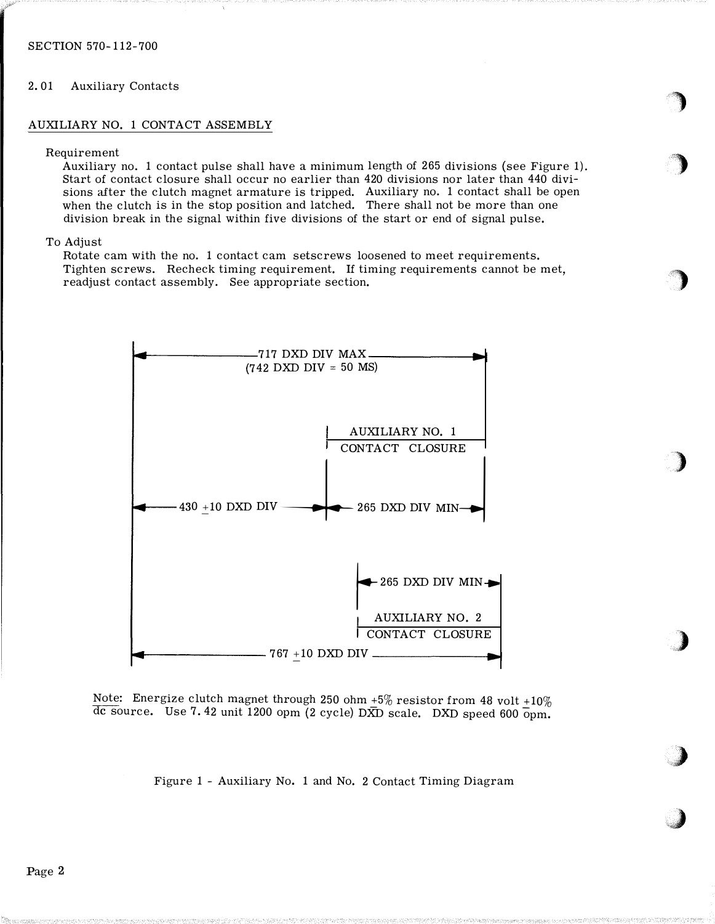# 2. 01 Auxiliary Contacts

### AUXILIARY NO. 1 CONTACT ASSEMBLY

#### Requirement

Auxiliary no. 1 contact pulse shall have a minimum length of 265 divisions (see Figure 1). Start of contact closure shall occur no earlier than 420 divisions nor later than 440 divisions after the clutch magnet armature is tripped. Auxiliary no. 1 contact shall be open when the clutch is in the stop position and latched. There shall not be more than one division break in the signal within five divisions of the start or end of signal pulse.

)

)

/)

)

,,)

)

'�

## To Adjust

Rotate cam with the no. 1 contact cam setscrews loosened to meet requirements. Tighten screws. Recheck timing requirement. If timing requirements cannot be met, readjust contact assembly. See appropriate section.



Note: Energize clutch magnet through 250 ohm  $+5\%$  resistor from 48 volt  $+10\%$  $\overline{dc}$  source. Use 7.42 unit 1200 opm (2 cycle) DXD scale. DXD speed 600  $\overline{opm}$ .

Figure 1 - Auxiliary No. 1 and No. 2 Contact Timing Diagram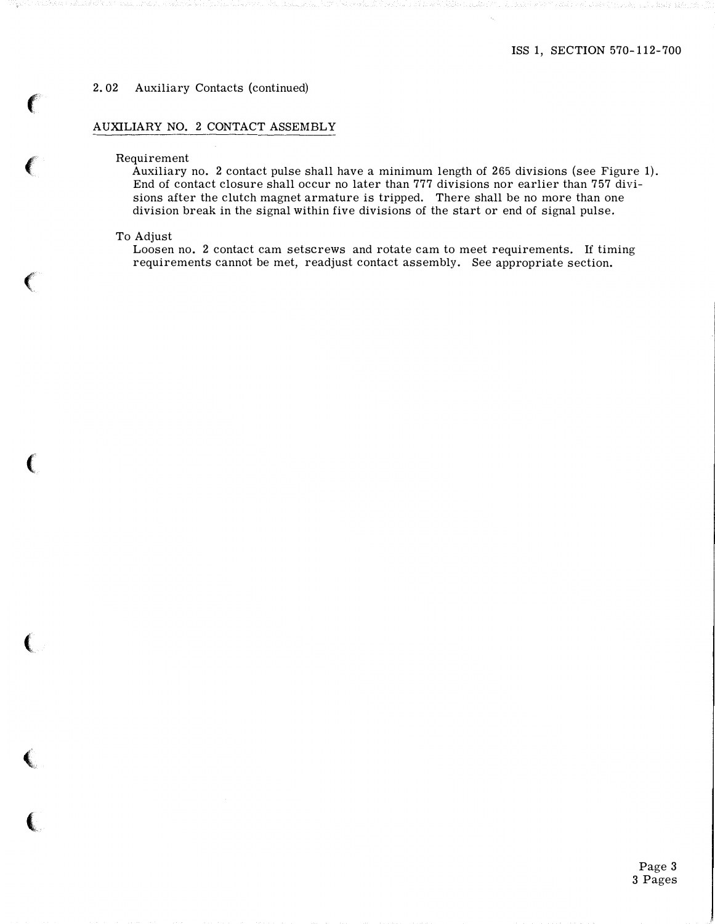## 2. 02 Auxiliary Contacts (continued)

# AUXILIARY NO. 2 CONTACT ASSEMBLY

# Requirement

Auxiliary no. 2 contact pulse shall have a minimum length of 265 divisions (see Figure 1). End of contact closure shall occur no later than 777 divisions nor earlier than 757 divisions after the clutch magnet armature is tripped. There shall be no more than one division break in the signal within five divisions of the start or end of signal pulse.

#### To Adjust

 $\sim$   $\sim$   $\sim$   $\sim$ 

**CONTRACTOR** 

Loosen no. 2 contact cam setscrews and rotate cam to meet requirements. If timing requirements cannot be met, readjust contact assembly. See appropriate section.